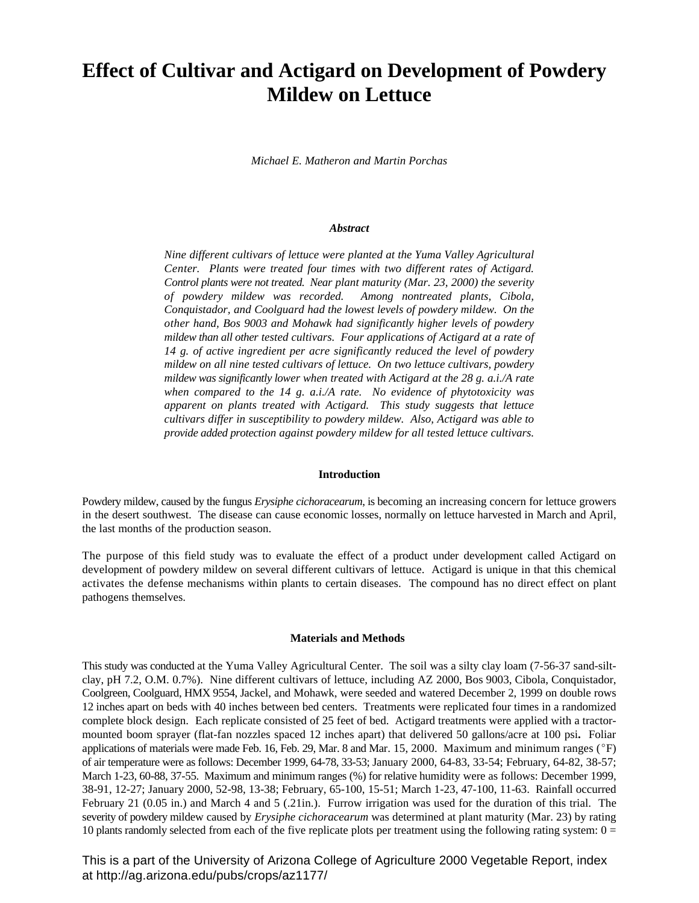# **Effect of Cultivar and Actigard on Development of Powdery Mildew on Lettuce**

*Michael E. Matheron and Martin Porchas*

#### *Abstract*

*Nine different cultivars of lettuce were planted at the Yuma Valley Agricultural Center. Plants were treated four times with two different rates of Actigard. Control plants were not treated. Near plant maturity (Mar. 23, 2000) the severity of powdery mildew was recorded. Among nontreated plants, Cibola, Conquistador, and Coolguard had the lowest levels of powdery mildew. On the other hand, Bos 9003 and Mohawk had significantly higher levels of powdery mildew than all other tested cultivars. Four applications of Actigard at a rate of 14 g. of active ingredient per acre significantly reduced the level of powdery mildew on all nine tested cultivars of lettuce. On two lettuce cultivars, powdery mildew was significantly lower when treated with Actigard at the 28 g. a.i./A rate when compared to the 14 g. a.i./A rate. No evidence of phytotoxicity was apparent on plants treated with Actigard. This study suggests that lettuce cultivars differ in susceptibility to powdery mildew. Also, Actigard was able to provide added protection against powdery mildew for all tested lettuce cultivars.*

#### **Introduction**

Powdery mildew, caused by the fungus *Erysiphe cichoracearum*, is becoming an increasing concern for lettuce growers in the desert southwest. The disease can cause economic losses, normally on lettuce harvested in March and April, the last months of the production season.

The purpose of this field study was to evaluate the effect of a product under development called Actigard on development of powdery mildew on several different cultivars of lettuce. Actigard is unique in that this chemical activates the defense mechanisms within plants to certain diseases. The compound has no direct effect on plant pathogens themselves.

### **Materials and Methods**

This study was conducted at the Yuma Valley Agricultural Center. The soil was a silty clay loam (7-56-37 sand-siltclay, pH 7.2, O.M. 0.7%). Nine different cultivars of lettuce, including AZ 2000, Bos 9003, Cibola, Conquistador, Coolgreen, Coolguard, HMX 9554, Jackel, and Mohawk, were seeded and watered December 2, 1999 on double rows 12 inches apart on beds with 40 inches between bed centers. Treatments were replicated four times in a randomized complete block design. Each replicate consisted of 25 feet of bed. Actigard treatments were applied with a tractormounted boom sprayer (flat-fan nozzles spaced 12 inches apart) that delivered 50 gallons/acre at 100 psi**.** Foliar applications of materials were made Feb. 16, Feb. 29, Mar. 8 and Mar. 15, 2000. Maximum and minimum ranges ( ${}^{\circ}$ F) of air temperature were as follows: December 1999, 64-78, 33-53; January 2000, 64-83, 33-54; February, 64-82, 38-57; March 1-23, 60-88, 37-55. Maximum and minimum ranges (%) for relative humidity were as follows: December 1999, 38-91, 12-27; January 2000, 52-98, 13-38; February, 65-100, 15-51; March 1-23, 47-100, 11-63. Rainfall occurred February 21 (0.05 in.) and March 4 and 5 (.21in.). Furrow irrigation was used for the duration of this trial. The severity of powdery mildew caused by *Erysiphe cichoracearum* was determined at plant maturity (Mar. 23) by rating 10 plants randomly selected from each of the five replicate plots per treatment using the following rating system:  $0 =$ 

This is a part of the University of Arizona College of Agriculture 2000 Vegetable Report, index at http://ag.arizona.edu/pubs/crops/az1177/